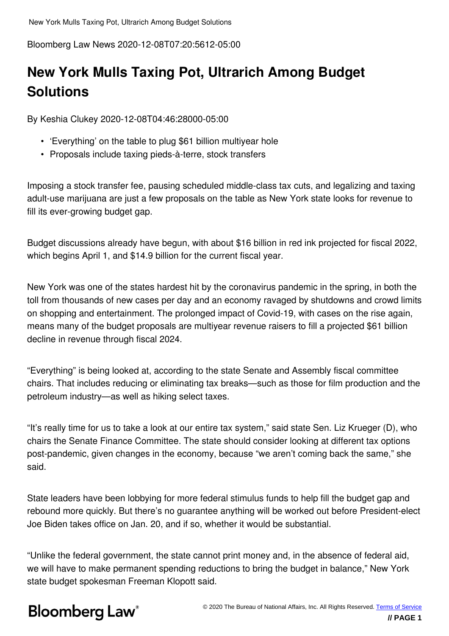Bloomberg Law News 2020-12-08T07:20:5612-05:00

### **New York Mulls Taxing Pot, Ultrarich Among Budget Solutions**

By Keshia Clukey 2020-12-08T04:46:28000-05:00

- 'Everything' on the table to plug \$61 billion multiyear hole
- Proposals include taxing pieds-à-terre, stock transfers

Imposing a stock transfer fee, pausing scheduled middle-class tax cuts, and legalizing and taxing adult-use marijuana are just a few proposals on the table as New York state looks for revenue to fill its ever-growing budget gap.

Budget discussions already have begun, with about \$16 billion in red ink projected for fiscal 2022, which begins April 1, and \$14.9 billion for the current fiscal year.

New York was one of the states hardest hit by the coronavirus pandemic in the spring, in both the toll from thousands of new cases per day and an economy ravaged by shutdowns and crowd limits on shopping and entertainment. The prolonged impact of Covid-19, with cases on the rise again, means many of the budget proposals are multiyear revenue raisers to fill a projected \$61 billion decline in revenue through fiscal 2024.

"Everything" is being looked at, according to the state Senate and Assembly fiscal committee chairs. That includes reducing or eliminating tax breaks—such as those for film production and the petroleum industry—as well as hiking select taxes.

"It's really time for us to take a look at our entire tax system," said state Sen. Liz Krueger (D), who chairs the Senate Finance Committee. The state should consider looking at different tax options post-pandemic, given changes in the economy, because "we aren't coming back the same," she said.

State leaders have been lobbying for more federal stimulus funds to help fill the budget gap and rebound more quickly. But there's no guarantee anything will be worked out before President-elect Joe Biden takes office on Jan. 20, and if so, whether it would be substantial.

"Unlike the federal government, the state cannot print money and, in the absence of federal aid, we will have to make permanent spending reductions to bring the budget in balance," New York state budget spokesman Freeman Klopott said.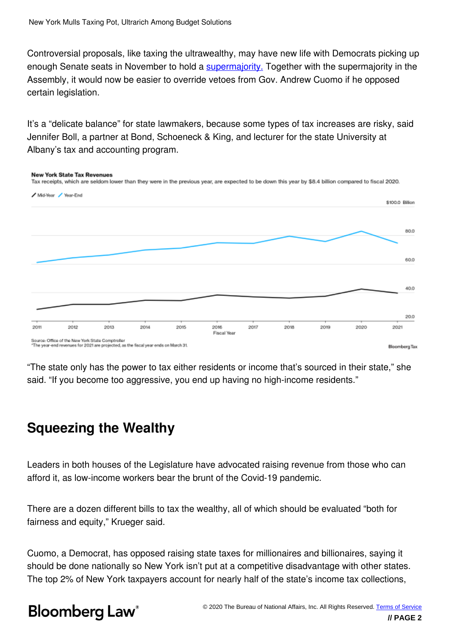Controversial proposals, like taxing the ultrawealthy, may have new life with Democrats picking up enough Senate seats in November to hold a **supermajority**. Together with the supermajority in the Assembly, it would now be easier to override vetoes from Gov. Andrew Cuomo if he opposed certain legislation.

It's a "delicate balance" for state lawmakers, because some types of tax increases are risky, said Jennifer Boll, a partner at Bond, Schoeneck & King, and lecturer for the state University at Albany's tax and accounting program.



"The state only has the power to tax either residents or income that's sourced in their state," she said. "If you become too aggressive, you end up having no high-income residents."

### **Squeezing the Wealthy**

Leaders in both houses of the Legislature have advocated raising revenue from those who can afford it, as low-income workers bear the brunt of the Covid-19 pandemic.

There are a dozen different bills to tax the wealthy, all of which should be evaluated "both for fairness and equity," Krueger said.

Cuomo, a Democrat, has opposed raising state taxes for millionaires and billionaires, saying it should be done nationally so New York isn't put at a competitive disadvantage with other states. The top 2% of New York taxpayers account for nearly half of the state's income tax collections,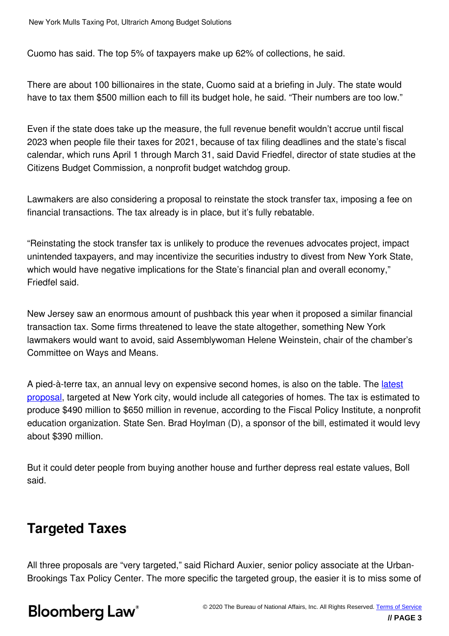Cuomo has said. The top 5% of taxpayers make up 62% of collections, he said.

There are about 100 billionaires in the state, Cuomo said at a briefing in July. The state would have to tax them \$500 million each to fill its budget hole, he said. "Their numbers are too low."

Even if the state does take up the measure, the full revenue benefit wouldn't accrue until fiscal 2023 when people file their taxes for 2021, because of tax filing deadlines and the state's fiscal calendar, which runs April 1 through March 31, said David Friedfel, director of state studies at the Citizens Budget Commission, a nonprofit budget watchdog group.

Lawmakers are also considering a proposal to reinstate the stock transfer tax, imposing a fee on financial transactions. The tax already is in place, but it's fully rebatable.

"Reinstating the stock transfer tax is unlikely to produce the revenues advocates project, impact unintended taxpayers, and may incentivize the securities industry to divest from New York State, which would have negative implications for the State's financial plan and overall economy," Friedfel said.

New Jersey saw an enormous amount of pushback this year when it proposed a similar financial transaction tax. Some firms threatened to leave the state altogether, something New York lawmakers would want to avoid, said Assemblywoman Helene Weinstein, chair of the chamber's Committee on Ways and Means.

A pied-à-terre tax, an annual levy on expensive second homes, is also on the table. The latest proposal, targeted at New York city, would include all categories of homes. The tax is estimated to produce \$490 million to \$650 million in revenue, according to the Fiscal Policy Institute, a nonprofit education organization. State Sen. Brad Hoylman (D), a sponsor of the bill, estimated it would levy about \$390 million.

But it could deter people from buying another house and further depress real estate values, Boll said.

#### **Targeted Taxes**

All three proposals are "very targeted," said Richard Auxier, senior policy associate at the Urban-Brookings Tax Policy Center. The more specific the targeted group, the easier it is to miss some of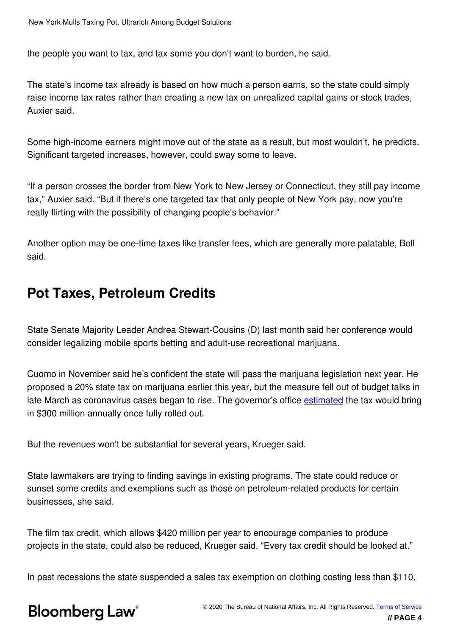the people you want to tax, and tax some you don't want to burden, he said.

The state's income tax already is based on how much a person earns, so the state could simply raise income tax rates rather than creating a new tax on unrealized capital gains or stock trades, Auxier said.

Some high-income earners might move out of the state as a result, but most wouldn't, he predicts. Significant targeted increases, however, could sway some to leave.

"If a person crosses the border from New York to New Jersey or Connecticut, they still pay income tax," Auxier said. "But if there's one targeted tax that only people of New York pay, now you're really flirting with the possibility of changing people's behavior."

Another option may be one-time taxes like transfer fees, which are generally more palatable, Boll said.

#### **Pot Taxes, Petroleum Credits**

State Senate Majority Leader Andrea Stewart-Cousins (D) last month said her conference would consider legalizing mobile sports betting and adult-use recreational marijuana.

Cuomo in November said he's confident the state will pass the marijuana legislation next year. He proposed a 20% state tax on marijuana earlier this year, but the measure fell out of budget talks in late March as coronavirus cases began to rise. The governor's office estimated the tax would bring in \$300 million annually once fully rolled out.

But the revenues won't be substantial for several years, Krueger said.

State lawmakers are trying to finding savings in existing programs. The state could reduce or sunset some credits and exemptions such as those on petroleum-related products for certain businesses, she said.

The film tax credit, which allows \$420 million per year to encourage companies to produce projects in the state, could also be reduced, Krueger said. "Every tax credit should be looked at."

In past recessions the state suspended a sales tax exemption on clothing costing less than \$110,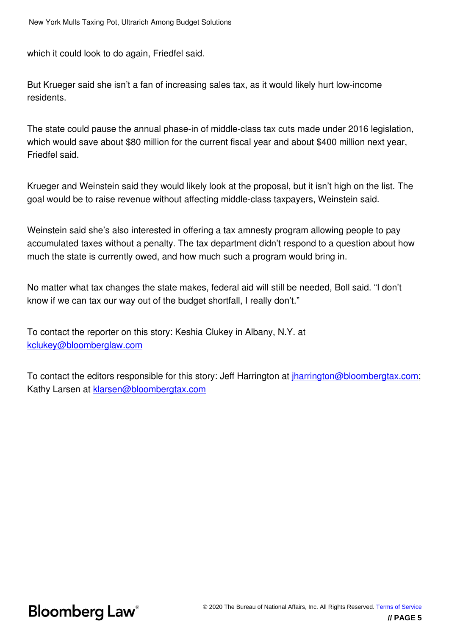which it could look to do again, Friedfel said.

But Krueger said she isn't a fan of increasing sales tax, as it would likely hurt low-income residents.

The state could pause the annual phase-in of middle-class tax cuts made under 2016 legislation, which would save about \$80 million for the current fiscal year and about \$400 million next year, Friedfel said.

Krueger and Weinstein said they would likely look at the proposal, but it isn't high on the list. The goal would be to raise revenue without affecting middle-class taxpayers, Weinstein said.

Weinstein said she's also interested in offering a tax amnesty program allowing people to pay accumulated taxes without a penalty. The tax department didn't respond to a question about how much the state is currently owed, and how much such a program would bring in.

No matter what tax changes the state makes, federal aid will still be needed, Boll said. "I don't know if we can tax our way out of the budget shortfall, I really don't."

To contact the reporter on this story: Keshia Clukey in Albany, N.Y. at kclukey@bloomberglaw.com

To contact the editors responsible for this story: Jeff Harrington at jharrington@bloombergtax.com; Kathy Larsen at **klarsen@bloombergtax.com**